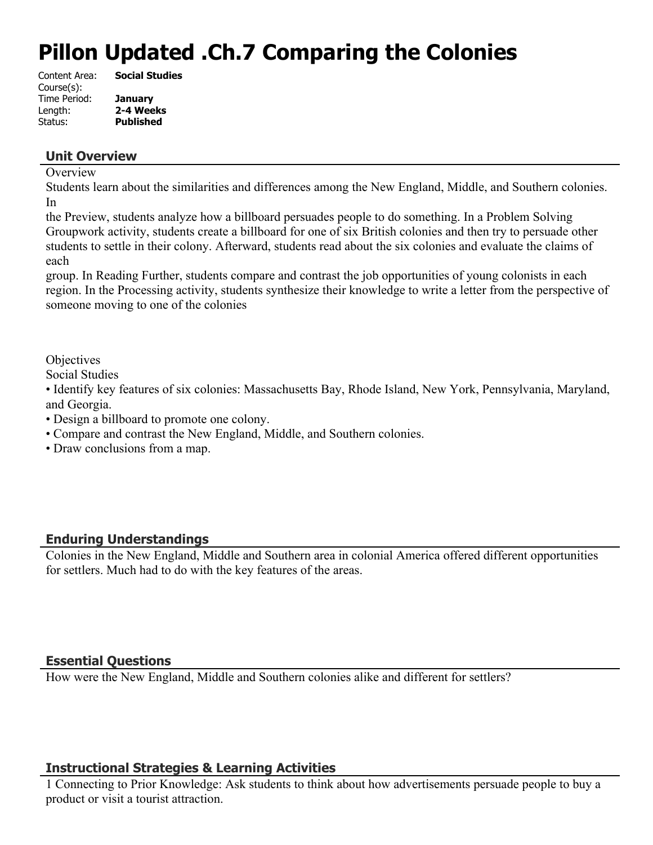# **Pillon Updated .Ch.7 Comparing the Colonies**

| Content Area: | <b>Social Studies</b> |
|---------------|-----------------------|
| Course(s):    |                       |
| Time Period:  | <b>January</b>        |
| Length:       | 2-4 Weeks             |
| Status:       | <b>Published</b>      |
|               |                       |

## **Unit Overview**

#### **Overview**

Students learn about the similarities and differences among the New England, Middle, and Southern colonies. In

the Preview, students analyze how a billboard persuades people to do something. In a Problem Solving Groupwork activity, students create a billboard for one of six British colonies and then try to persuade other students to settle in their colony. Afterward, students read about the six colonies and evaluate the claims of each

group. In Reading Further, students compare and contrast the job opportunities of young colonists in each region. In the Processing activity, students synthesize their knowledge to write a letter from the perspective of someone moving to one of the colonies

**Objectives** 

Social Studies

• Identify key features of six colonies: Massachusetts Bay, Rhode Island, New York, Pennsylvania, Maryland, and Georgia.

• Design a billboard to promote one colony.

- Compare and contrast the New England, Middle, and Southern colonies.
- Draw conclusions from a map.

# **Enduring Understandings**

Colonies in the New England, Middle and Southern area in colonial America offered different opportunities for settlers. Much had to do with the key features of the areas.

# **Essential Questions**

How were the New England, Middle and Southern colonies alike and different for settlers?

# **Instructional Strategies & Learning Activities**

1 Connecting to Prior Knowledge: Ask students to think about how advertisements persuade people to buy a product or visit a tourist attraction.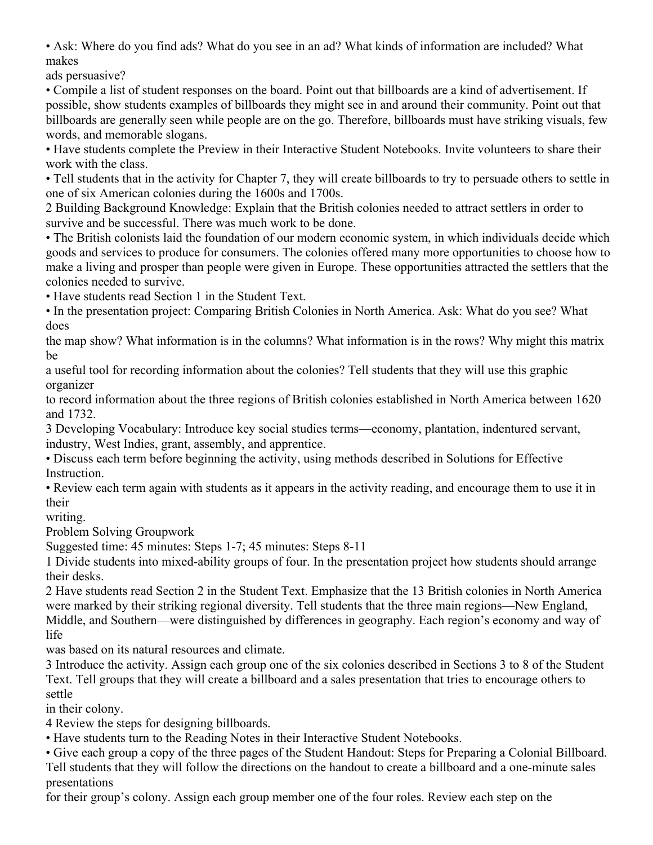• Ask: Where do you find ads? What do you see in an ad? What kinds of information are included? What makes

ads persuasive?

• Compile a list of student responses on the board. Point out that billboards are a kind of advertisement. If possible, show students examples of billboards they might see in and around their community. Point out that billboards are generally seen while people are on the go. Therefore, billboards must have striking visuals, few words, and memorable slogans.

• Have students complete the Preview in their Interactive Student Notebooks. Invite volunteers to share their work with the class.

• Tell students that in the activity for Chapter 7, they will create billboards to try to persuade others to settle in one of six American colonies during the 1600s and 1700s.

2 Building Background Knowledge: Explain that the British colonies needed to attract settlers in order to survive and be successful. There was much work to be done.

• The British colonists laid the foundation of our modern economic system, in which individuals decide which goods and services to produce for consumers. The colonies offered many more opportunities to choose how to make a living and prosper than people were given in Europe. These opportunities attracted the settlers that the colonies needed to survive.

• Have students read Section 1 in the Student Text.

• In the presentation project: Comparing British Colonies in North America. Ask: What do you see? What does

the map show? What information is in the columns? What information is in the rows? Why might this matrix be

a useful tool for recording information about the colonies? Tell students that they will use this graphic organizer

to record information about the three regions of British colonies established in North America between 1620 and 1732.

3 Developing Vocabulary: Introduce key social studies terms—economy, plantation, indentured servant, industry, West Indies, grant, assembly, and apprentice.

• Discuss each term before beginning the activity, using methods described in Solutions for Effective **Instruction** 

• Review each term again with students as it appears in the activity reading, and encourage them to use it in their

writing.

Problem Solving Groupwork

Suggested time: 45 minutes: Steps 1-7; 45 minutes: Steps 8-11

1 Divide students into mixed-ability groups of four. In the presentation project how students should arrange their desks.

2 Have students read Section 2 in the Student Text. Emphasize that the 13 British colonies in North America were marked by their striking regional diversity. Tell students that the three main regions—New England, Middle, and Southern—were distinguished by differences in geography. Each region's economy and way of life

was based on its natural resources and climate.

3 Introduce the activity. Assign each group one of the six colonies described in Sections 3 to 8 of the Student Text. Tell groups that they will create a billboard and a sales presentation that tries to encourage others to settle

in their colony.

4 Review the steps for designing billboards.

• Have students turn to the Reading Notes in their Interactive Student Notebooks.

• Give each group a copy of the three pages of the Student Handout: Steps for Preparing a Colonial Billboard. Tell students that they will follow the directions on the handout to create a billboard and a one-minute sales presentations

for their group's colony. Assign each group member one of the four roles. Review each step on the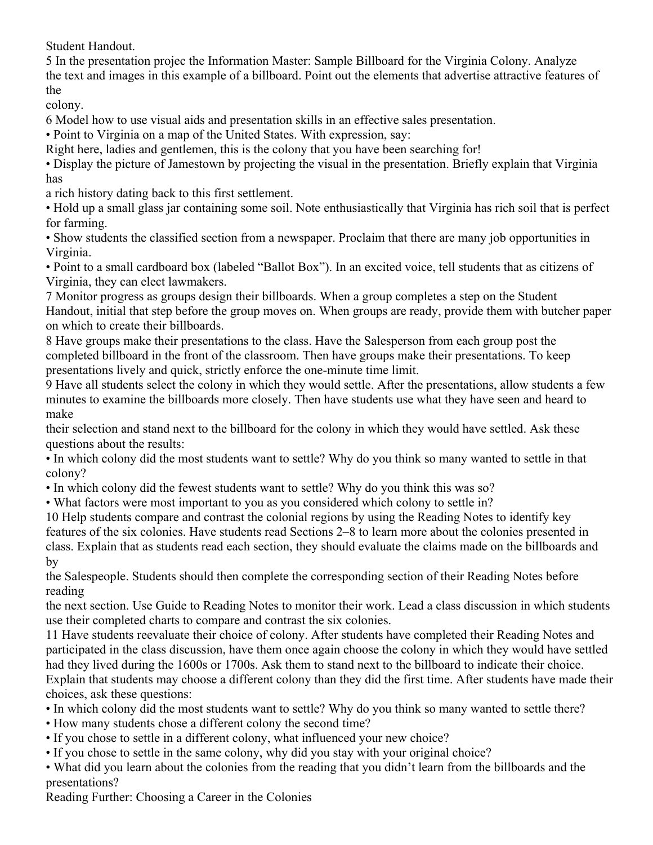Student Handout.

5 In the presentation projec the Information Master: Sample Billboard for the Virginia Colony. Analyze the text and images in this example of a billboard. Point out the elements that advertise attractive features of the

colony.

6 Model how to use visual aids and presentation skills in an effective sales presentation.

• Point to Virginia on a map of the United States. With expression, say:

Right here, ladies and gentlemen, this is the colony that you have been searching for!

• Display the picture of Jamestown by projecting the visual in the presentation. Briefly explain that Virginia has

a rich history dating back to this first settlement.

• Hold up a small glass jar containing some soil. Note enthusiastically that Virginia has rich soil that is perfect for farming.

• Show students the classified section from a newspaper. Proclaim that there are many job opportunities in Virginia.

• Point to a small cardboard box (labeled "Ballot Box"). In an excited voice, tell students that as citizens of Virginia, they can elect lawmakers.

7 Monitor progress as groups design their billboards. When a group completes a step on the Student Handout, initial that step before the group moves on. When groups are ready, provide them with butcher paper on which to create their billboards.

8 Have groups make their presentations to the class. Have the Salesperson from each group post the completed billboard in the front of the classroom. Then have groups make their presentations. To keep presentations lively and quick, strictly enforce the one-minute time limit.

9 Have all students select the colony in which they would settle. After the presentations, allow students a few minutes to examine the billboards more closely. Then have students use what they have seen and heard to make

their selection and stand next to the billboard for the colony in which they would have settled. Ask these questions about the results:

• In which colony did the most students want to settle? Why do you think so many wanted to settle in that colony?

• In which colony did the fewest students want to settle? Why do you think this was so?

• What factors were most important to you as you considered which colony to settle in?

10 Help students compare and contrast the colonial regions by using the Reading Notes to identify key features of the six colonies. Have students read Sections 2–8 to learn more about the colonies presented in class. Explain that as students read each section, they should evaluate the claims made on the billboards and by

the Salespeople. Students should then complete the corresponding section of their Reading Notes before reading

the next section. Use Guide to Reading Notes to monitor their work. Lead a class discussion in which students use their completed charts to compare and contrast the six colonies.

11 Have students reevaluate their choice of colony. After students have completed their Reading Notes and participated in the class discussion, have them once again choose the colony in which they would have settled had they lived during the 1600s or 1700s. Ask them to stand next to the billboard to indicate their choice. Explain that students may choose a different colony than they did the first time. After students have made their choices, ask these questions:

• In which colony did the most students want to settle? Why do you think so many wanted to settle there?

• How many students chose a different colony the second time?

- If you chose to settle in a different colony, what influenced your new choice?
- If you chose to settle in the same colony, why did you stay with your original choice?

• What did you learn about the colonies from the reading that you didn't learn from the billboards and the presentations?

Reading Further: Choosing a Career in the Colonies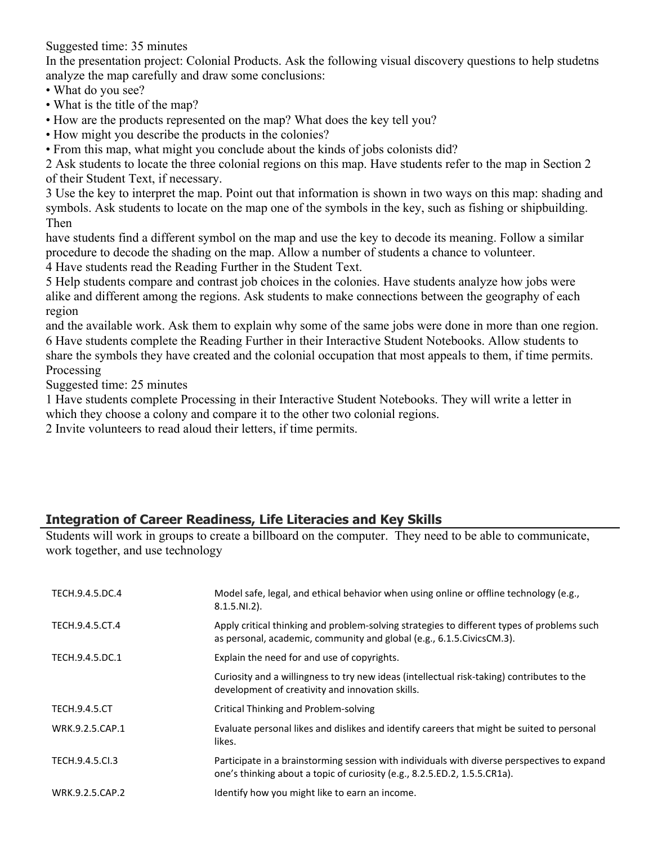Suggested time: 35 minutes

In the presentation project: Colonial Products. Ask the following visual discovery questions to help studetns analyze the map carefully and draw some conclusions:

- What do you see?
- What is the title of the map?
- How are the products represented on the map? What does the key tell you?
- How might you describe the products in the colonies?
- From this map, what might you conclude about the kinds of jobs colonists did?

2 Ask students to locate the three colonial regions on this map. Have students refer to the map in Section 2 of their Student Text, if necessary.

3 Use the key to interpret the map. Point out that information is shown in two ways on this map: shading and symbols. Ask students to locate on the map one of the symbols in the key, such as fishing or shipbuilding. Then

have students find a different symbol on the map and use the key to decode its meaning. Follow a similar procedure to decode the shading on the map. Allow a number of students a chance to volunteer.

4 Have students read the Reading Further in the Student Text.

5 Help students compare and contrast job choices in the colonies. Have students analyze how jobs were alike and different among the regions. Ask students to make connections between the geography of each region

and the available work. Ask them to explain why some of the same jobs were done in more than one region. 6 Have students complete the Reading Further in their Interactive Student Notebooks. Allow students to share the symbols they have created and the colonial occupation that most appeals to them, if time permits. **Processing** 

Suggested time: 25 minutes

1 Have students complete Processing in their Interactive Student Notebooks. They will write a letter in which they choose a colony and compare it to the other two colonial regions.

2 Invite volunteers to read aloud their letters, if time permits.

# **Integration of Career Readiness, Life Literacies and Key Skills**

Students will work in groups to create a billboard on the computer. They need to be able to communicate, work together, and use technology

| TECH.9.4.5.DC.4      | Model safe, legal, and ethical behavior when using online or offline technology (e.g.,<br>$8.1.5.NI.2$ ).                                                                |
|----------------------|--------------------------------------------------------------------------------------------------------------------------------------------------------------------------|
| TECH.9.4.5.CT.4      | Apply critical thinking and problem-solving strategies to different types of problems such<br>as personal, academic, community and global (e.g., 6.1.5. Civics CM.3).    |
| TECH.9.4.5.DC.1      | Explain the need for and use of copyrights.                                                                                                                              |
|                      | Curiosity and a willingness to try new ideas (intellectual risk-taking) contributes to the<br>development of creativity and innovation skills.                           |
| <b>TECH.9.4.5.CT</b> | Critical Thinking and Problem-solving                                                                                                                                    |
| WRK.9.2.5.CAP.1      | Evaluate personal likes and dislikes and identify careers that might be suited to personal<br>likes.                                                                     |
| TECH.9.4.5.Cl.3      | Participate in a brainstorming session with individuals with diverse perspectives to expand<br>one's thinking about a topic of curiosity (e.g., 8.2.5.ED.2, 1.5.5.CR1a). |
| WRK.9.2.5.CAP.2      | Identify how you might like to earn an income.                                                                                                                           |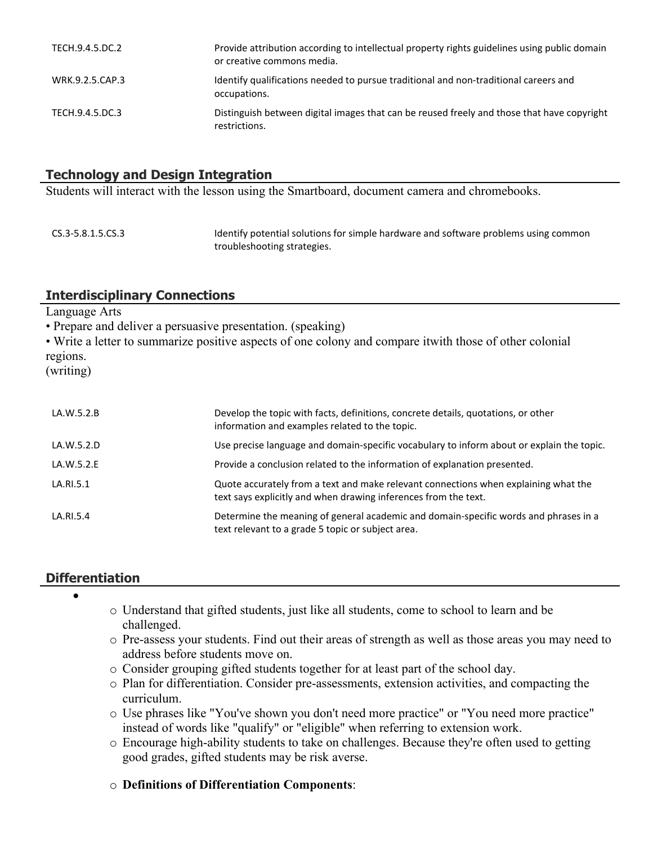| TECH.9.4.5.DC.2 | Provide attribution according to intellectual property rights guidelines using public domain<br>or creative commons media. |
|-----------------|----------------------------------------------------------------------------------------------------------------------------|
| WRK.9.2.5.CAP.3 | Identify qualifications needed to pursue traditional and non-traditional careers and<br>occupations.                       |
| TECH.9.4.5.DC.3 | Distinguish between digital images that can be reused freely and those that have copyright<br>restrictions.                |

## **Technology and Design Integration**

Students will interact with the lesson using the Smartboard, document camera and chromebooks.

| CS.3-5.8.1.5.CS.3 | Identify potential solutions for simple hardware and software problems using common |
|-------------------|-------------------------------------------------------------------------------------|
|                   | troubleshooting strategies.                                                         |

## **Interdisciplinary Connections**

Language Arts

• Prepare and deliver a persuasive presentation. (speaking)

• Write a letter to summarize positive aspects of one colony and compare itwith those of other colonial regions.

(writing)

| LA.W.5.2.B | Develop the topic with facts, definitions, concrete details, quotations, or other<br>information and examples related to the topic.                    |
|------------|--------------------------------------------------------------------------------------------------------------------------------------------------------|
| LA.W.5.2.D | Use precise language and domain-specific vocabulary to inform about or explain the topic.                                                              |
| LA.W.5.2.E | Provide a conclusion related to the information of explanation presented.                                                                              |
| LA.RI.5.1  | Quote accurately from a text and make relevant connections when explaining what the<br>text says explicitly and when drawing inferences from the text. |
| LA.RI.5.4  | Determine the meaning of general academic and domain-specific words and phrases in a<br>text relevant to a grade 5 topic or subject area.              |

## **Differentiation**

- $\bullet$
- o Understand that gifted students, just like all students, come to school to learn and be challenged.
- o Pre-assess your students. Find out their areas of strength as well as those areas you may need to address before students move on.
- o Consider grouping gifted students together for at least part of the school day.
- o Plan for differentiation. Consider pre-assessments, extension activities, and compacting the curriculum.
- o Use phrases like "You've shown you don't need more practice" or "You need more practice" instead of words like "qualify" or "eligible" when referring to extension work.
- o Encourage high-ability students to take on challenges. Because they're often used to getting good grades, gifted students may be risk averse.
- o **Definitions of Differentiation Components**: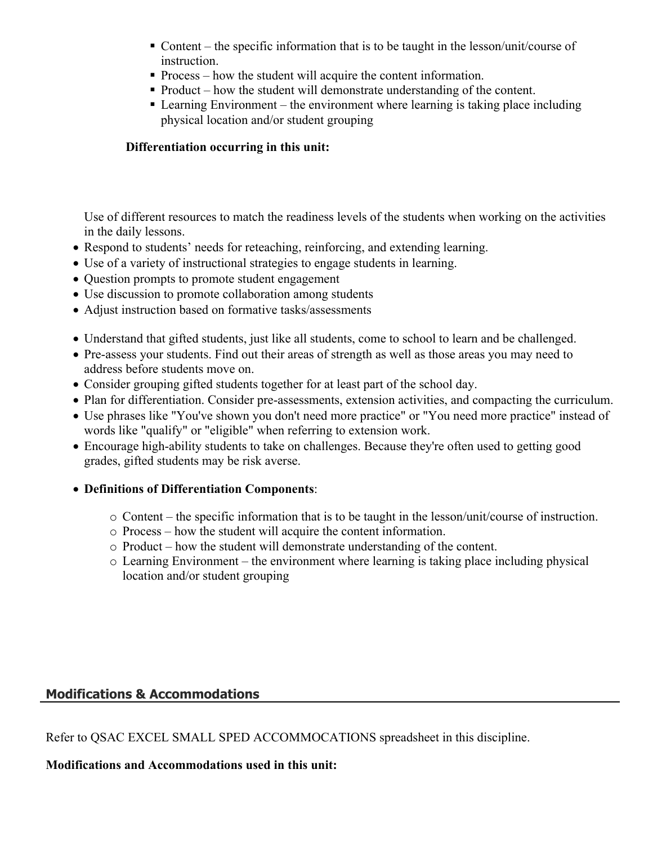- Content the specific information that is to be taught in the lesson/unit/course of instruction.
- Process how the student will acquire the content information.
- Product how the student will demonstrate understanding of the content.
- Learning Environment the environment where learning is taking place including physical location and/or student grouping

## **Differentiation occurring in this unit:**

Use of different resources to match the readiness levels of the students when working on the activities in the daily lessons.

- Respond to students' needs for reteaching, reinforcing, and extending learning.
- Use of a variety of instructional strategies to engage students in learning.
- Question prompts to promote student engagement
- Use discussion to promote collaboration among students
- Adjust instruction based on formative tasks/assessments
- Understand that gifted students, just like all students, come to school to learn and be challenged.
- Pre-assess your students. Find out their areas of strength as well as those areas you may need to address before students move on.
- Consider grouping gifted students together for at least part of the school day.
- Plan for differentiation. Consider pre-assessments, extension activities, and compacting the curriculum.
- Use phrases like "You've shown you don't need more practice" or "You need more practice" instead of words like "qualify" or "eligible" when referring to extension work.
- Encourage high-ability students to take on challenges. Because they're often used to getting good grades, gifted students may be risk averse.
- **Definitions of Differentiation Components**:
	- o Content the specific information that is to be taught in the lesson/unit/course of instruction.
	- o Process how the student will acquire the content information.
	- o Product how the student will demonstrate understanding of the content.
	- o Learning Environment the environment where learning is taking place including physical location and/or student grouping

# **Modifications & Accommodations**

Refer to QSAC EXCEL SMALL SPED ACCOMMOCATIONS spreadsheet in this discipline.

**Modifications and Accommodations used in this unit:**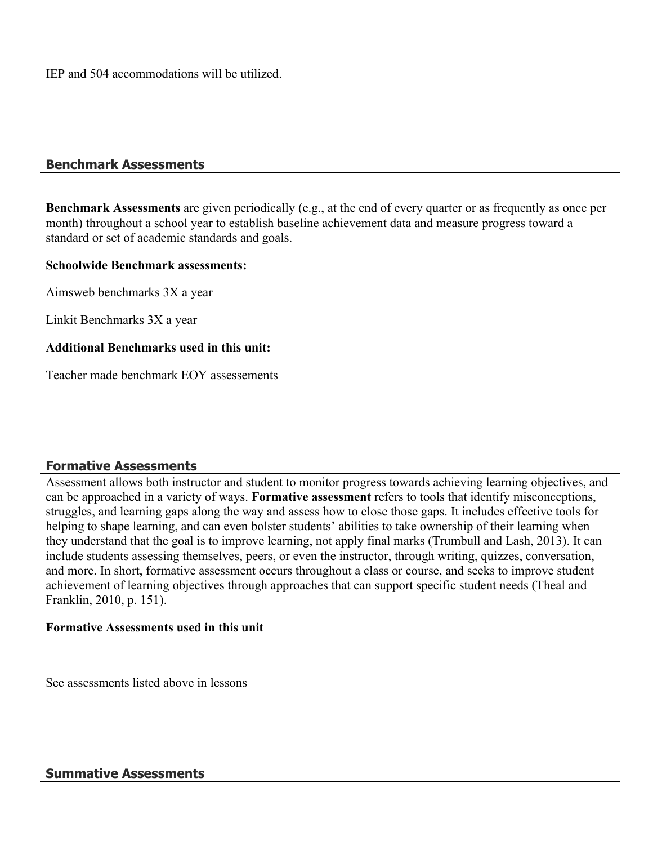IEP and 504 accommodations will be utilized.

#### **Benchmark Assessments**

**Benchmark Assessments** are given periodically (e.g., at the end of every quarter or as frequently as once per month) throughout a school year to establish baseline achievement data and measure progress toward a standard or set of academic standards and goals.

#### **Schoolwide Benchmark assessments:**

Aimsweb benchmarks 3X a year

Linkit Benchmarks 3X a year

#### **Additional Benchmarks used in this unit:**

Teacher made benchmark EOY assessements

## **Formative Assessments**

Assessment allows both instructor and student to monitor progress towards achieving learning objectives, and can be approached in a variety of ways. **Formative assessment** refers to tools that identify misconceptions, struggles, and learning gaps along the way and assess how to close those gaps. It includes effective tools for helping to shape learning, and can even bolster students' abilities to take ownership of their learning when they understand that the goal is to improve learning, not apply final marks (Trumbull and Lash, 2013). It can include students assessing themselves, peers, or even the instructor, through writing, quizzes, conversation, and more. In short, formative assessment occurs throughout a class or course, and seeks to improve student achievement of learning objectives through approaches that can support specific student needs (Theal and Franklin, 2010, p. 151).

#### **Formative Assessments used in this unit**

See assessments listed above in lessons